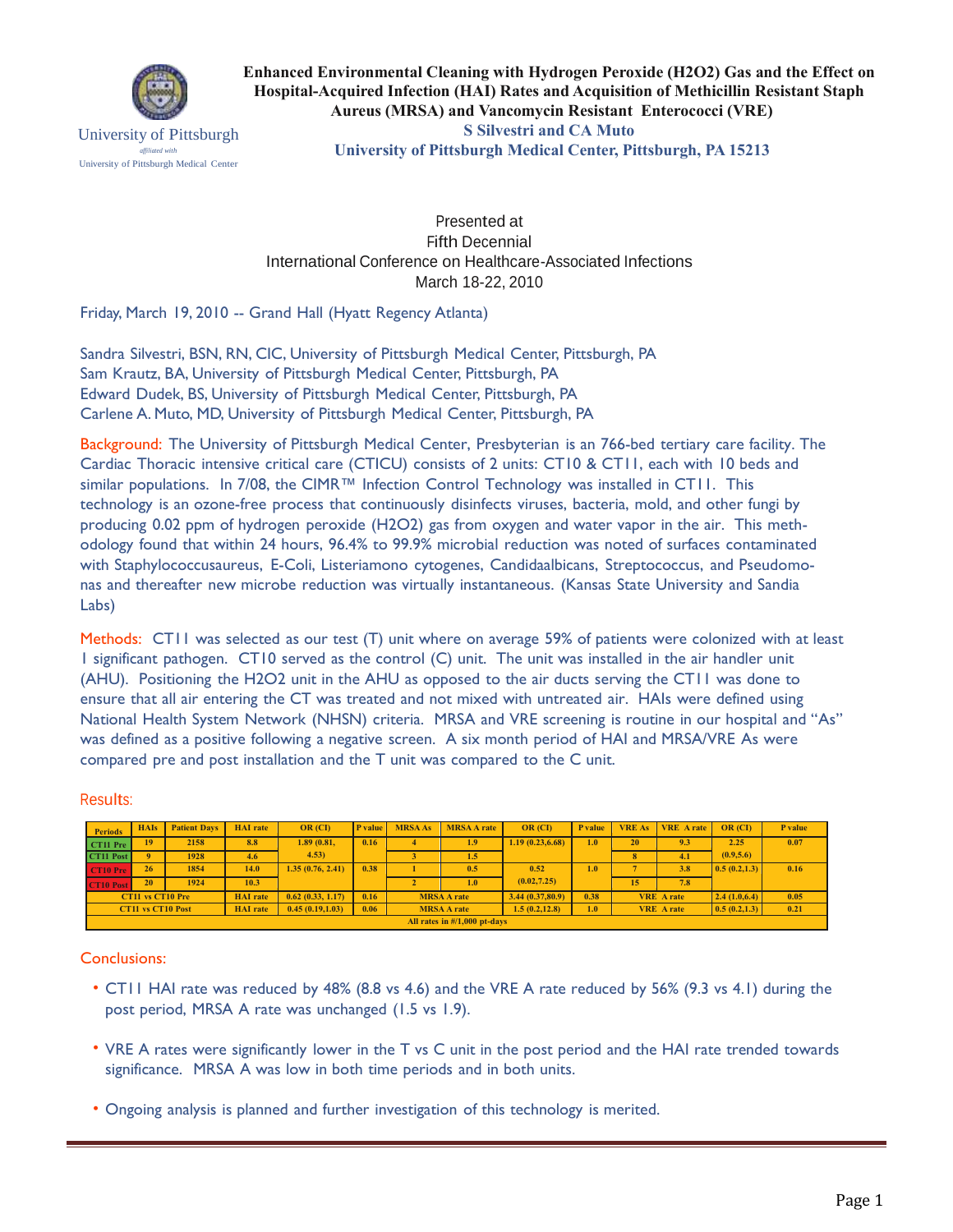

University of Pittsburgh *affiliated with* University of Pittsburgh Medical Center

**Enhanced Environmental Cleaning with Hydrogen Peroxide (H2O2) Gas and the Effect on Hospital-Acquired Infection (HAI) Rates and Acquisition of Methicillin Resistant Staph Aureus (MRSA) and Vancomycin Resistant Enterococci (VRE) S Silvestri and CA Muto University of Pittsburgh Medical Center, Pittsburgh, PA 15213**

Presented at Fifth Decennial International Conference on Healthcare-Associated Infections March 18-22, 2010

Friday, March 19, 2010 -- Grand Hall (Hyatt Regency Atlanta)

Sandra Silvestri, BSN, RN, CIC, University of Pittsburgh Medical Center, Pittsburgh, PA Sam Krautz, BA, University of Pittsburgh Medical Center, Pittsburgh, PA Edward Dudek, BS, University of Pittsburgh Medical Center, Pittsburgh, PA Carlene A. Muto, MD, University of Pittsburgh Medical Center, Pittsburgh, PA

Background: The University of Pittsburgh Medical Center, Presbyterian is an 766-bed tertiary care facility. The Cardiac Thoracic intensive critical care (CTICU) consists of 2 units: CT10 & CT11, each with 10 beds and similar populations. In 7/08, the CIMR™ Infection Control Technology was installed in CT11. This technology is an ozone-free process that continuously disinfects viruses, bacteria, mold, and other fungi by producing 0.02 ppm of hydrogen peroxide (H2O2) gas from oxygen and water vapor in the air. This methodology found that within 24 hours, 96.4% to 99.9% microbial reduction was noted of surfaces contaminated with Staphylococcusaureus, E-Coli, Listeriamono cytogenes, Candidaalbicans, Streptococcus, and Pseudomonas and thereafter new microbe reduction was virtually instantaneous. (Kansas State University and Sandia Labs)

Methods: CT11 was selected as our test (T) unit where on average 59% of patients were colonized with at least 1 significant pathogen. CT10 served as the control (C) unit. The unit was installed in the air handler unit (AHU). Positioning the H2O2 unit in the AHU as opposed to the air ducts serving the CT11 was done to ensure that all air entering the CT was treated and not mixed with untreated air. HAIs were defined using National Health System Network (NHSN) criteria. MRSA and VRE screening is routine in our hospital and "As" was defined as a positive following a negative screen. A six month period of HAI and MRSA/VRE As were compared pre and post installation and the T unit was compared to the C unit.

Results:

| <b>Periods</b>                          | <b>HAIs</b> | <b>Patient Days</b> | <b>HAI</b> rate | OR (CI)          | <b>P</b> value | <b>MRSA As</b>     | <b>MRSA A rate</b> | <b>OR</b> (CI)   | P value          | <b>VRE As</b>     | <b>VRE</b> Arate | OR (CD)                     | P value |
|-----------------------------------------|-------------|---------------------|-----------------|------------------|----------------|--------------------|--------------------|------------------|------------------|-------------------|------------------|-----------------------------|---------|
| CT11 Pre                                | 19          | 2158                | 8.8             | 1.89(0.81,       | 0.16           |                    | 1.9                | 1.19(0.23, 6.68) | 1.0              | 20                | 9.3              | 2.25                        | 0.07    |
| CT11 Post                               |             | 1928                | 4.6             | 4.53)            |                |                    | 1.5                |                  |                  | 8                 | 4.1              | (0.9, 5.6)                  |         |
| CT10 Pre                                | 26          | 1854                | 14.0            | 1.35(0.76, 2.41) | 0.38           |                    | 0.5                | 0.52             | 1.0 <sub>7</sub> |                   | 3.8              | $\vert 0.5(0.2, 1.3) \vert$ | 0.16    |
| <b>CT10 Post</b>                        | 20          | 1924                | 10.3            |                  |                |                    | 1.0 <sub>1</sub>   | (0.02, 7.25)     |                  | 15                | 7.8              |                             |         |
| CT11 vs CT10 Pre                        |             |                     | <b>HAI</b> rate | 0.62(0.33, 1.17) | 0.16           | <b>MRSA A rate</b> |                    | 3.44(0.37,80.9)  | 0.38             | <b>VRE</b> A rate |                  | 2.4(1.0,6.4)                | 0.05    |
| <b>CT11 vs CT10 Post</b>                |             |                     | <b>HAI</b> rate | 0.45(0.19,1.03)  | 0.06           | <b>MRSA A rate</b> |                    | 1.5(0.2, 12.8)   | 1.0              | <b>VRE</b> A rate |                  | $\vert 0.5(0.2,1.3) \vert$  | 0.21    |
| All rates in $\frac{\#}{1,000}$ pt-days |             |                     |                 |                  |                |                    |                    |                  |                  |                   |                  |                             |         |

Conclusions:

- CT11 HAI rate was reduced by 48% (8.8 vs 4.6) and the VRE A rate reduced by 56% (9.3 vs 4.1) during the post period, MRSA A rate was unchanged (1.5 vs 1.9).
- VRE A rates were significantly lower in the T vs C unit in the post period and the HAI rate trended towards significance. MRSA A was low in both time periods and in both units.
- Ongoing analysis is planned and further investigation of this technology is merited.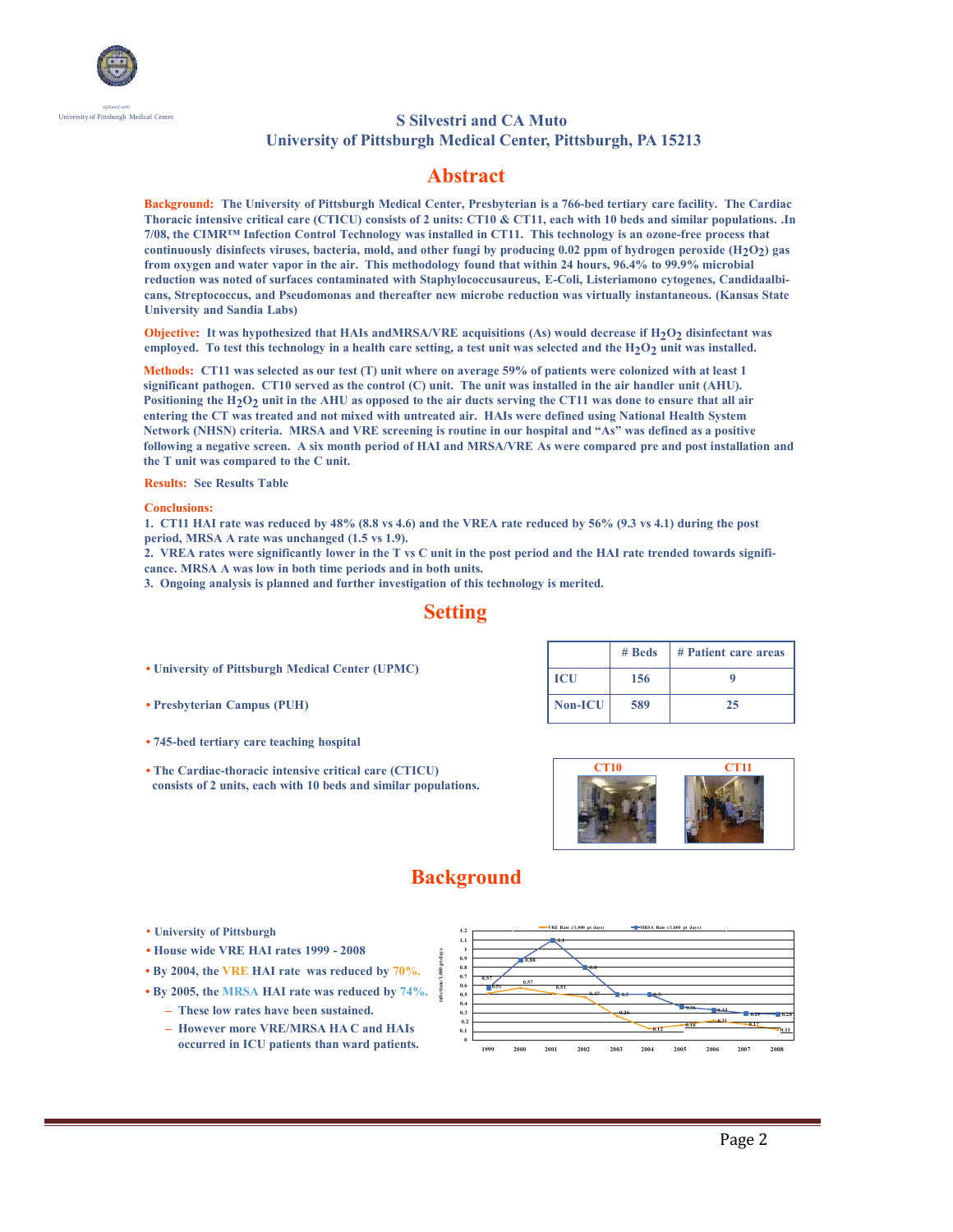

#### University of Pittsburgh Medical Center **S Silvestri and CA Muto University of Pittsburgh Medical Center, Pittsburgh, PA 15213**

## **Abstract**

**Background: The University of Pittsburgh Medical Center, Presbyterian is a 766-bed tertiary care facility. The Cardiac Thoracic intensive critical care (CTICU) consists of 2 units: CT10 & CT11, each with 10 beds and similar populations. .In 7/08, the CIMR™ Infection Control Technology was installed in CT11. This technology is an ozone-free process that continuously disinfects viruses, bacteria, mold, and other fungi by producing 0.02 ppm of hydrogen peroxide (H2O2 ) gas from oxygen and water vapor in the air. This methodology found that within 24 hours, 96.4% to 99.9% microbial reduction was noted of surfaces contaminated with Staphylococcusaureus, E-Coli, Listeriamono cytogenes, Candidaalbicans, Streptococcus, and Pseudomonas and thereafter new microbe reduction was virtually instantaneous. (Kansas State University and Sandia Labs)**

**Objective:** It was hypothesized that HAIs andMRSA/VRE acquisitions (As) would decrease if H<sub>2</sub>O<sub>2</sub> disinfectant was employed. To test this technology in a health care setting, a test unit was selected and the H<sub>2</sub>O<sub>2</sub> unit was installed.

**Methods: CT11 was selected as our test (T) unit where on average 59% of patients were colonized with at least 1 significant pathogen. CT10 served as the control (C) unit. The unit was installed in the air handler unit (AHU). Positioning the H2O2 unit in the AHU as opposed to the air ducts serving the CT11 was done to ensure that all air entering the CT was treated and not mixed with untreated air. HAIs were defined using National Health System Network (NHSN) criteria. MRSA and VRE screening is routine in our hospital and "As" was defined as a positive following a negative screen. A six month period of HAI and MRSA/VRE As were compared pre and post installation and the T unit was compared to the C unit.**

**Results: See Results Table**

#### **Conclusions:**

**1. CT11 HAI rate was reduced by 48% (8.8 vs 4.6) and the VREA rate reduced by 56% (9.3 vs 4.1) during the post period, MRSA A rate was unchanged (1.5 vs 1.9).**

**2. VREA rates were significantly lower in the T vs C unit in the post period and the HAI rate trended towards significance. MRSA A was low in both time periods and in both units.**

**3. Ongoing analysis is planned and further investigation of this technology is merited.**

## **Setting**

- **• University of Pittsburgh Medical Center (UPMC)**
- **• Presbyterian Campus (PUH)**
- **• 745-bed tertiary care teaching hospital**
- **• The Cardiac-thoracic intensive critical care (CTICU) consists of 2 units, each with 10 beds and similar populations.**

|            | # Beds | # Patient care areas |  |  |  |  |  |  |
|------------|--------|----------------------|--|--|--|--|--|--|
| <b>ICU</b> | 156    |                      |  |  |  |  |  |  |
| Non-ICU    | 589    | 25                   |  |  |  |  |  |  |



# **Background**

- **University of Pittsburgh**
- **• House wide VRE HAI rates 1999 2008**
- **• By 2004, the VRE HAI rate was reduced by 70%.**
- **• By 2005, the MRSA HAI rate was reduced by 74%.**
	- **– These low rates have been sustained.**
	- **– However more VRE/MRSA HA C and HAIs occurred in ICU patients than ward patients.**

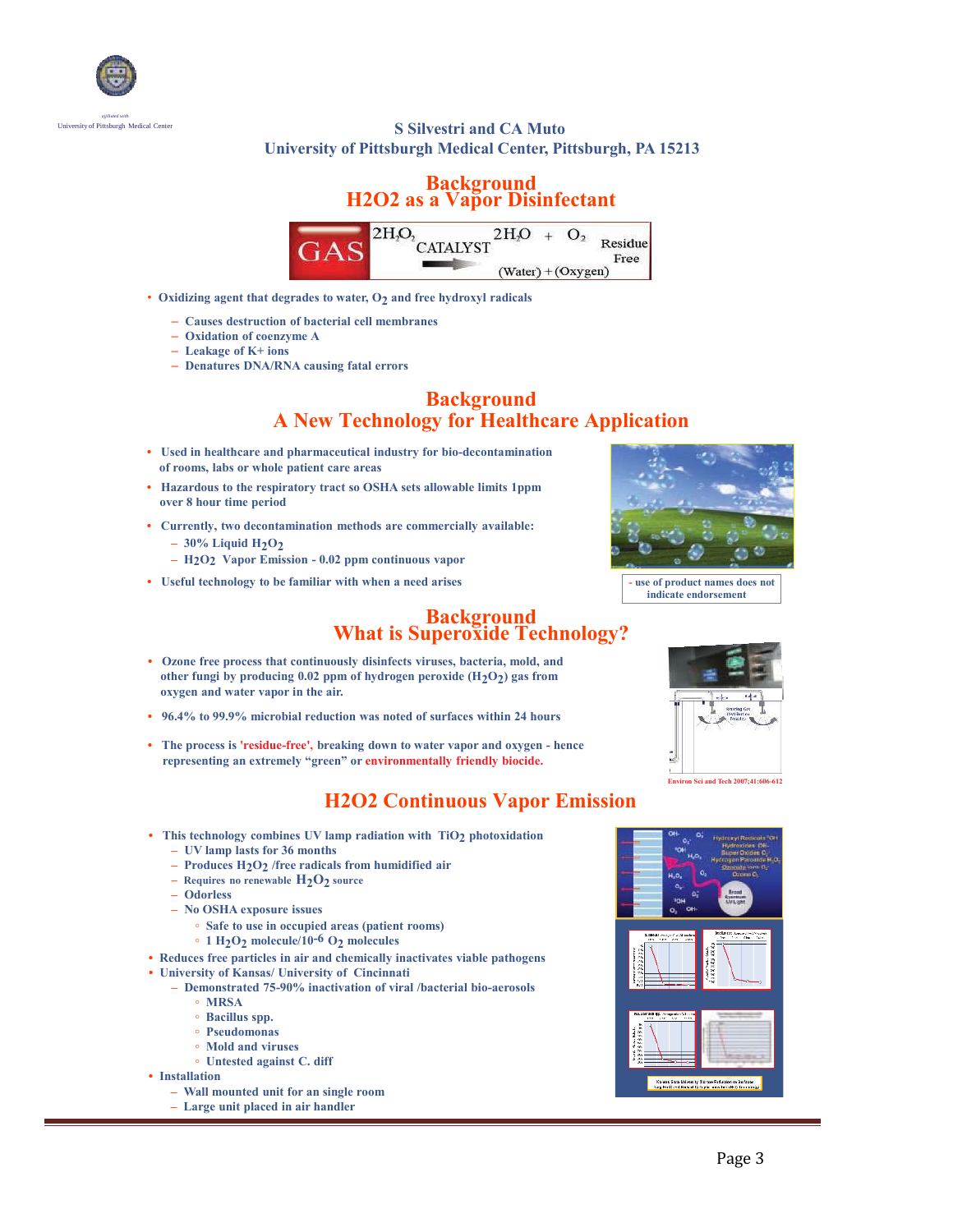

### University of Pittsburgh Medical Center **S Silvestri and CA Muto University of Pittsburgh Medical Center, Pittsburgh, PA 15213**

### **Background H2O2 as a Vapor Disinfectant**



- Oxidizing agent that degrades to water, O<sub>2</sub> and free hydroxyl radicals
	- **Causes destruction of bacterial cell membranes**
	- **Oxidation of coenzyme A**
	- **Leakage of K+ ions**
	- **Denatures DNA/RNA causing fatal errors**

## **Background A New Technology for Healthcare Application**

- **Used in healthcare and pharmaceutical industry for bio-decontamination of rooms, labs or whole patient care areas**
- **Hazardous to the respiratory tract so OSHA sets allowable limits 1ppm over 8 hour time period**
- **Currently, two decontamination methods are commercially available:**  $-30\%$  Liquid H<sub>2</sub>O<sub>2</sub>
	- **– H2O2 Vapor Emission 0.02 ppm continuous vapor**
- Useful technology to be familiar with when a need arises **Figure 2** use of product names does not



**indicate endorsement**

#### **Background What is Superoxide Technology?**

- **Ozone free process that continuously disinfects viruses, bacteria, mold, and other fungi by producing 0.02 ppm of hydrogen peroxide (H2O2 ) gas from oxygen and water vapor in the air.**
- **96.4% to 99.9% microbial reduction was noted of surfaces within 24 hours**
- **The process is 'residue-free', breaking down to water vapor and oxygen hence representing an extremely "green" or environmentally friendly biocide.**

# **H2O2 Continuous Vapor Emission**

- **This technology combines UV lamp radiation with TiO2 photoxidation**
	- **– UV lamp lasts for 36 months**
	- **– Produces H2O2 /free radicals from humidified air**
	- **Requires no renewable H2O2 source**
	- **– Odorless**
	- **– No OSHA exposure issues**
		- **◦ Safe to use in occupied areas (patient rooms)**
		- **◦ 1 H2O2 molecule/10-6 O2 molecules**
- **Reduces free particles in air and chemically inactivates viable pathogens**
- **University of Kansas/ University of Cincinnati**
	- **– Demonstrated 75-90% inactivation of viral /bacterial bio-aerosols**
		- **◦ MRSA**
		- **◦ Bacillus spp.**
		- **◦ Pseudomonas**
		- **◦ Mold and viruses**
		- **◦ Untested against C. diff**

**• Installation**

- **– Wall mounted unit for an single room**
- **– Large unit placed in air handler**